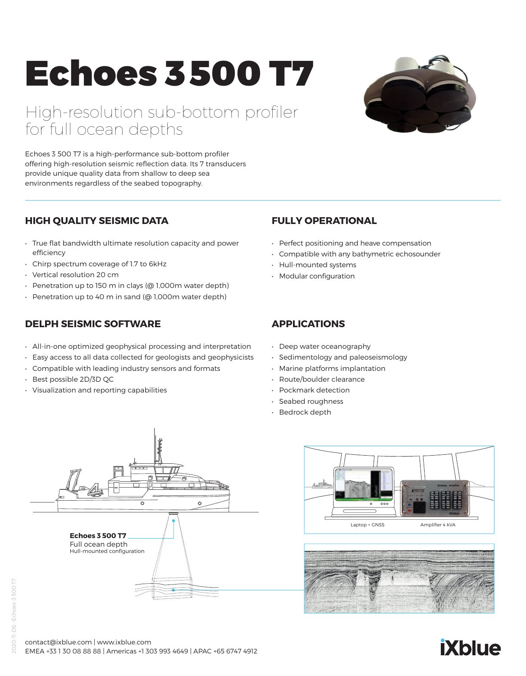# Echoes 3500 T7

High-resolution sub-bottom profiler for full ocean depths



Echoes 3 500 T7 is a high-performance sub-bottom profiler offering high-resolution seismic reflection data. Its 7 transducers provide unique quality data from shallow to deep sea environments regardless of the seabed topography.

# **HIGH QUALITY SEISMIC DATA**

- True flat bandwidth ultimate resolution capacity and power efficiency
- Chirp spectrum coverage of 1.7 to 6kHz
- Vertical resolution 20 cm
- Penetration up to 150 m in clays (@ 1,000m water depth)
- Penetration up to 40 m in sand (@ 1,000m water depth)

# **DELPH SEISMIC SOFTWARE**

- All-in-one optimized geophysical processing and interpretation
- Easy access to all data collected for geologists and geophysicists
- Compatible with leading industry sensors and formats
- Best possible 2D/3D QC
- Visualization and reporting capabilities

### **FULLY OPERATIONAL**

- Perfect positioning and heave compensation
- Compatible with any bathymetric echosounder
- Hull-mounted systems
- Modular configuration

# **APPLICATIONS**

- Deep water oceanography
- Sedimentology and paleoseismology
- Marine platforms implantation
- Route/boulder clearance
- Pockmark detection
- Seabed roughness
- Bedrock depth







# Echoes-3 500 T7 2020-11-DS--Echoes-3 500 T7 š

#### contact@ixblue.com | www.ixblue.com EMEA +33 1 30 08 88 88 | Americas +1 303 993 4649 | APAC +65 6747 4912

# **iXblue**